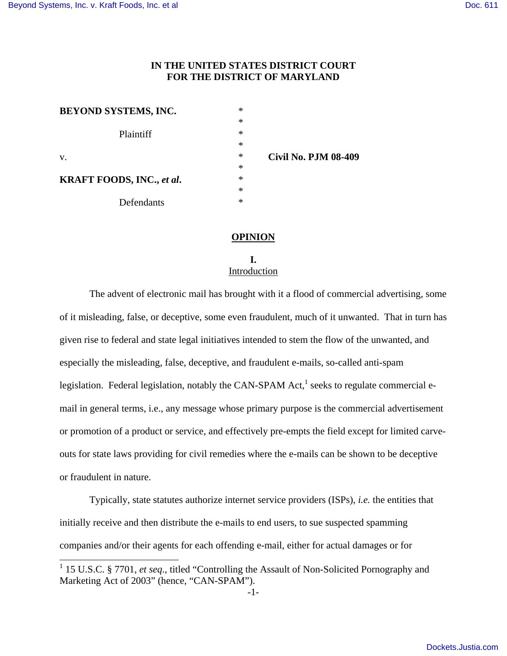L

# **IN THE UNITED STATES DISTRICT COURT FOR THE DISTRICT OF MARYLAND**

| <b>BEYOND SYSTEMS, INC.</b>      | $\ast$ |                             |
|----------------------------------|--------|-----------------------------|
|                                  | $\ast$ |                             |
| Plaintiff                        | $\ast$ |                             |
|                                  | $\ast$ |                             |
| v.                               | $\ast$ | <b>Civil No. PJM 08-409</b> |
|                                  | $\ast$ |                             |
| <b>KRAFT FOODS, INC., et al.</b> | $\ast$ |                             |
|                                  | $\ast$ |                             |
| Defendants                       | $\ast$ |                             |

**OPINION** 

**I.**  Introduction

 The advent of electronic mail has brought with it a flood of commercial advertising, some of it misleading, false, or deceptive, some even fraudulent, much of it unwanted. That in turn has given rise to federal and state legal initiatives intended to stem the flow of the unwanted, and especially the misleading, false, deceptive, and fraudulent e-mails, so-called anti-spam legislation. Federal legislation, notably the CAN-SPAM Act, $^1$  seeks to regulate commercial email in general terms, i.e., any message whose primary purpose is the commercial advertisement or promotion of a product or service, and effectively pre-empts the field except for limited carveouts for state laws providing for civil remedies where the e-mails can be shown to be deceptive or fraudulent in nature.

 Typically, state statutes authorize internet service providers (ISPs), *i.e.* the entities that initially receive and then distribute the e-mails to end users, to sue suspected spamming companies and/or their agents for each offending e-mail, either for actual damages or for

<sup>&</sup>lt;sup>1</sup> 15 U.S.C. § 7701, *et seq.*, titled "Controlling the Assault of Non-Solicited Pornography and Marketing Act of 2003" (hence, "CAN-SPAM").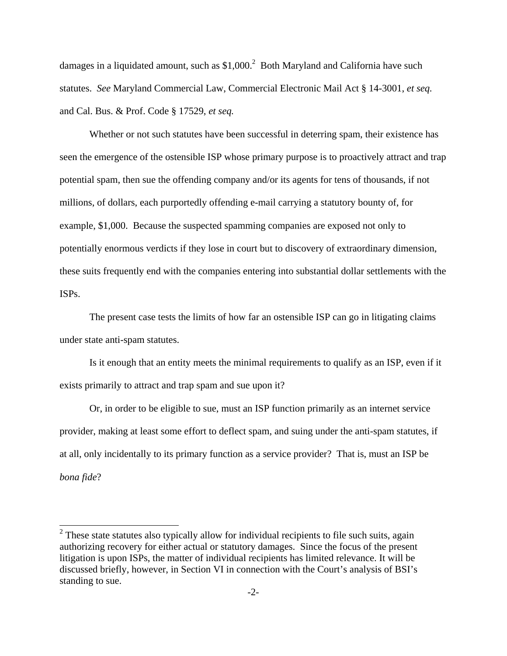damages in a liquidated amount, such as  $$1,000$ .<sup>2</sup> Both Maryland and California have such statutes. *See* Maryland Commercial Law, Commercial Electronic Mail Act § 14-3001, *et seq.*  and Cal. Bus. & Prof. Code § 17529, *et seq.* 

 Whether or not such statutes have been successful in deterring spam, their existence has seen the emergence of the ostensible ISP whose primary purpose is to proactively attract and trap potential spam, then sue the offending company and/or its agents for tens of thousands, if not millions, of dollars, each purportedly offending e-mail carrying a statutory bounty of, for example, \$1,000. Because the suspected spamming companies are exposed not only to potentially enormous verdicts if they lose in court but to discovery of extraordinary dimension, these suits frequently end with the companies entering into substantial dollar settlements with the ISPs.

 The present case tests the limits of how far an ostensible ISP can go in litigating claims under state anti-spam statutes.

 Is it enough that an entity meets the minimal requirements to qualify as an ISP, even if it exists primarily to attract and trap spam and sue upon it?

 Or, in order to be eligible to sue, must an ISP function primarily as an internet service provider, making at least some effort to deflect spam, and suing under the anti-spam statutes, if at all, only incidentally to its primary function as a service provider? That is, must an ISP be *bona fide*?

L

 $2$  These state statutes also typically allow for individual recipients to file such suits, again authorizing recovery for either actual or statutory damages. Since the focus of the present litigation is upon ISPs, the matter of individual recipients has limited relevance. It will be discussed briefly, however, in Section VI in connection with the Court's analysis of BSI's standing to sue.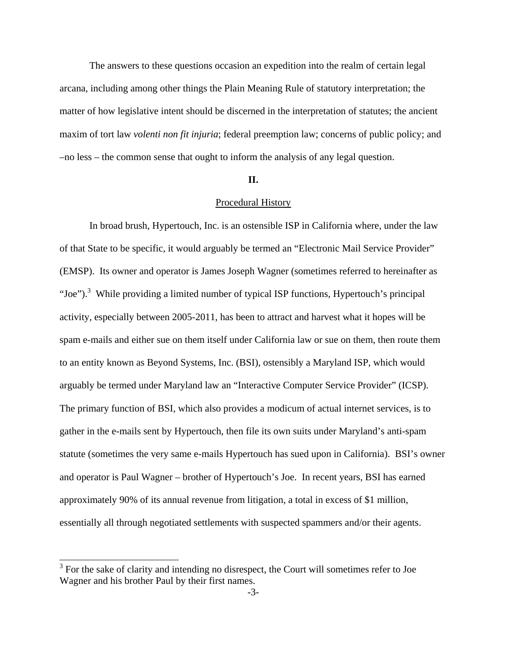The answers to these questions occasion an expedition into the realm of certain legal arcana, including among other things the Plain Meaning Rule of statutory interpretation; the matter of how legislative intent should be discerned in the interpretation of statutes; the ancient maxim of tort law *volenti non fit injuria*; federal preemption law; concerns of public policy; and –no less – the common sense that ought to inform the analysis of any legal question.

#### **II.**

#### Procedural History

In broad brush, Hypertouch, Inc. is an ostensible ISP in California where, under the law of that State to be specific, it would arguably be termed an "Electronic Mail Service Provider" (EMSP). Its owner and operator is James Joseph Wagner (sometimes referred to hereinafter as "Joe").<sup>3</sup> While providing a limited number of typical ISP functions, Hypertouch's principal activity, especially between 2005-2011, has been to attract and harvest what it hopes will be spam e-mails and either sue on them itself under California law or sue on them, then route them to an entity known as Beyond Systems, Inc. (BSI), ostensibly a Maryland ISP, which would arguably be termed under Maryland law an "Interactive Computer Service Provider" (ICSP). The primary function of BSI, which also provides a modicum of actual internet services, is to gather in the e-mails sent by Hypertouch, then file its own suits under Maryland's anti-spam statute (sometimes the very same e-mails Hypertouch has sued upon in California). BSI's owner and operator is Paul Wagner – brother of Hypertouch's Joe. In recent years, BSI has earned approximately 90% of its annual revenue from litigation, a total in excess of \$1 million, essentially all through negotiated settlements with suspected spammers and/or their agents.

L

 $3$  For the sake of clarity and intending no disrespect, the Court will sometimes refer to Joe Wagner and his brother Paul by their first names.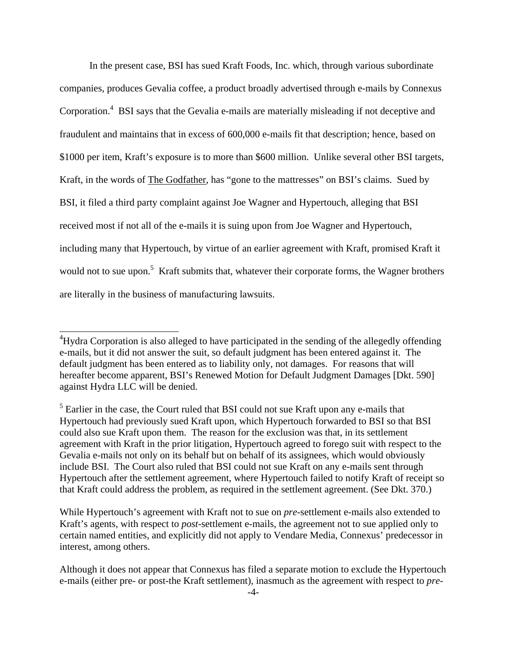In the present case, BSI has sued Kraft Foods, Inc. which, through various subordinate companies, produces Gevalia coffee, a product broadly advertised through e-mails by Connexus Corporation.<sup>4</sup> BSI says that the Gevalia e-mails are materially misleading if not deceptive and fraudulent and maintains that in excess of 600,000 e-mails fit that description; hence, based on \$1000 per item, Kraft's exposure is to more than \$600 million. Unlike several other BSI targets, Kraft, in the words of The Godfather, has "gone to the mattresses" on BSI's claims. Sued by BSI, it filed a third party complaint against Joe Wagner and Hypertouch, alleging that BSI received most if not all of the e-mails it is suing upon from Joe Wagner and Hypertouch, including many that Hypertouch, by virtue of an earlier agreement with Kraft, promised Kraft it would not to sue upon.<sup>5</sup> Kraft submits that, whatever their corporate forms, the Wagner brothers are literally in the business of manufacturing lawsuits.

 $\overline{a}$ 

<sup>&</sup>lt;sup>4</sup>Hydra Corporation is also alleged to have participated in the sending of the allegedly offending e-mails, but it did not answer the suit, so default judgment has been entered against it. The default judgment has been entered as to liability only, not damages. For reasons that will hereafter become apparent, BSI's Renewed Motion for Default Judgment Damages [Dkt. 590] against Hydra LLC will be denied.

<sup>&</sup>lt;sup>5</sup> Earlier in the case, the Court ruled that BSI could not sue Kraft upon any e-mails that Hypertouch had previously sued Kraft upon, which Hypertouch forwarded to BSI so that BSI could also sue Kraft upon them. The reason for the exclusion was that, in its settlement agreement with Kraft in the prior litigation, Hypertouch agreed to forego suit with respect to the Gevalia e-mails not only on its behalf but on behalf of its assignees, which would obviously include BSI. The Court also ruled that BSI could not sue Kraft on any e-mails sent through Hypertouch after the settlement agreement, where Hypertouch failed to notify Kraft of receipt so that Kraft could address the problem, as required in the settlement agreement. (See Dkt. 370.)

While Hypertouch's agreement with Kraft not to sue on *pre*-settlement e-mails also extended to Kraft's agents, with respect to *post*-settlement e-mails, the agreement not to sue applied only to certain named entities, and explicitly did not apply to Vendare Media, Connexus' predecessor in interest, among others.

Although it does not appear that Connexus has filed a separate motion to exclude the Hypertouch e-mails (either pre- or post-the Kraft settlement), inasmuch as the agreement with respect to *pre-*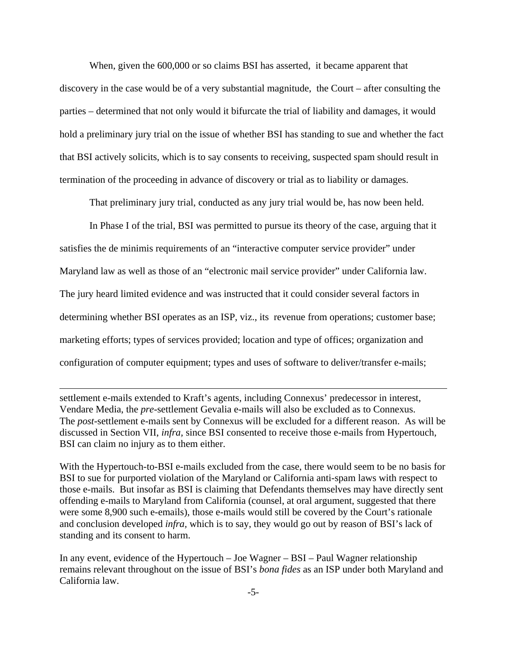When, given the 600,000 or so claims BSI has asserted, it became apparent that discovery in the case would be of a very substantial magnitude, the Court – after consulting the parties – determined that not only would it bifurcate the trial of liability and damages, it would hold a preliminary jury trial on the issue of whether BSI has standing to sue and whether the fact that BSI actively solicits, which is to say consents to receiving, suspected spam should result in termination of the proceeding in advance of discovery or trial as to liability or damages.

That preliminary jury trial, conducted as any jury trial would be, has now been held.

In Phase I of the trial, BSI was permitted to pursue its theory of the case, arguing that it satisfies the de minimis requirements of an "interactive computer service provider" under Maryland law as well as those of an "electronic mail service provider" under California law. The jury heard limited evidence and was instructed that it could consider several factors in determining whether BSI operates as an ISP, viz., its revenue from operations; customer base; marketing efforts; types of services provided; location and type of offices; organization and configuration of computer equipment; types and uses of software to deliver/transfer e-mails;

settlement e-mails extended to Kraft's agents, including Connexus' predecessor in interest, Vendare Media, the *pre*-settlement Gevalia e-mails will also be excluded as to Connexus. The *post*-settlement e-mails sent by Connexus will be excluded for a different reason. As will be discussed in Section VII, *infra,* since BSI consented to receive those e-mails from Hypertouch, BSI can claim no injury as to them either.

L

With the Hypertouch-to-BSI e-mails excluded from the case, there would seem to be no basis for BSI to sue for purported violation of the Maryland or California anti-spam laws with respect to those e-mails. But insofar as BSI is claiming that Defendants themselves may have directly sent offending e-mails to Maryland from California (counsel, at oral argument, suggested that there were some 8,900 such e-emails), those e-mails would still be covered by the Court's rationale and conclusion developed *infra,* which is to say, they would go out by reason of BSI's lack of standing and its consent to harm.

In any event, evidence of the Hypertouch – Joe Wagner – BSI – Paul Wagner relationship remains relevant throughout on the issue of BSI's *bona fides* as an ISP under both Maryland and California law.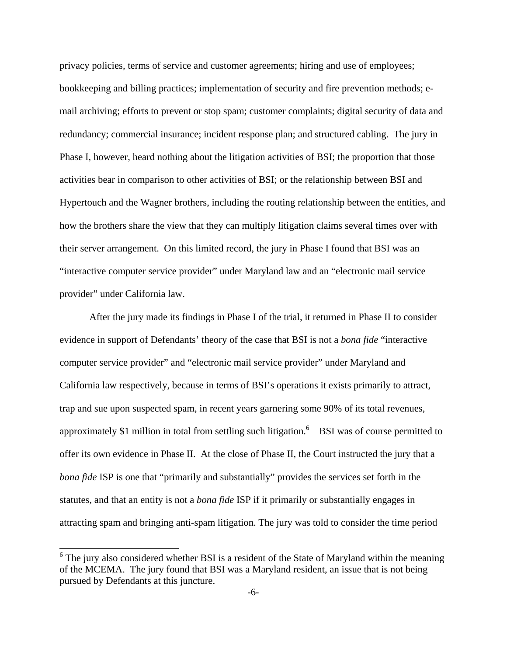privacy policies, terms of service and customer agreements; hiring and use of employees; bookkeeping and billing practices; implementation of security and fire prevention methods; email archiving; efforts to prevent or stop spam; customer complaints; digital security of data and redundancy; commercial insurance; incident response plan; and structured cabling. The jury in Phase I, however, heard nothing about the litigation activities of BSI; the proportion that those activities bear in comparison to other activities of BSI; or the relationship between BSI and Hypertouch and the Wagner brothers, including the routing relationship between the entities, and how the brothers share the view that they can multiply litigation claims several times over with their server arrangement. On this limited record, the jury in Phase I found that BSI was an "interactive computer service provider" under Maryland law and an "electronic mail service provider" under California law.

After the jury made its findings in Phase I of the trial, it returned in Phase II to consider evidence in support of Defendants' theory of the case that BSI is not a *bona fide* "interactive computer service provider" and "electronic mail service provider" under Maryland and California law respectively, because in terms of BSI's operations it exists primarily to attract, trap and sue upon suspected spam, in recent years garnering some 90% of its total revenues, approximately \$1 million in total from settling such litigation.<sup>6</sup> BSI was of course permitted to offer its own evidence in Phase II. At the close of Phase II, the Court instructed the jury that a *bona fide* ISP is one that "primarily and substantially" provides the services set forth in the statutes, and that an entity is not a *bona fide* ISP if it primarily or substantially engages in attracting spam and bringing anti-spam litigation. The jury was told to consider the time period

j.

 $6$  The jury also considered whether BSI is a resident of the State of Maryland within the meaning of the MCEMA. The jury found that BSI was a Maryland resident, an issue that is not being pursued by Defendants at this juncture.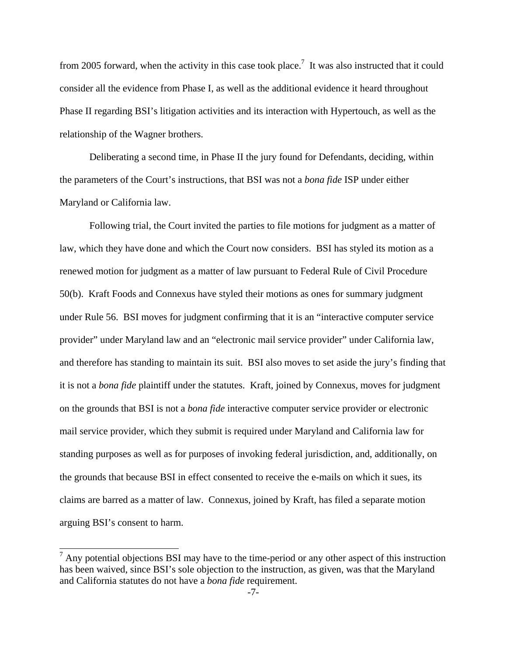from 2005 forward, when the activity in this case took place.<sup>7</sup> It was also instructed that it could consider all the evidence from Phase I, as well as the additional evidence it heard throughout Phase II regarding BSI's litigation activities and its interaction with Hypertouch, as well as the relationship of the Wagner brothers.

Deliberating a second time, in Phase II the jury found for Defendants, deciding, within the parameters of the Court's instructions, that BSI was not a *bona fide* ISP under either Maryland or California law.

Following trial, the Court invited the parties to file motions for judgment as a matter of law, which they have done and which the Court now considers. BSI has styled its motion as a renewed motion for judgment as a matter of law pursuant to Federal Rule of Civil Procedure 50(b). Kraft Foods and Connexus have styled their motions as ones for summary judgment under Rule 56. BSI moves for judgment confirming that it is an "interactive computer service provider" under Maryland law and an "electronic mail service provider" under California law, and therefore has standing to maintain its suit. BSI also moves to set aside the jury's finding that it is not a *bona fide* plaintiff under the statutes. Kraft, joined by Connexus, moves for judgment on the grounds that BSI is not a *bona fide* interactive computer service provider or electronic mail service provider, which they submit is required under Maryland and California law for standing purposes as well as for purposes of invoking federal jurisdiction, and, additionally, on the grounds that because BSI in effect consented to receive the e-mails on which it sues, its claims are barred as a matter of law. Connexus, joined by Kraft, has filed a separate motion arguing BSI's consent to harm.

 $\overline{ }$ 

 $<sup>7</sup>$  Any potential objections BSI may have to the time-period or any other aspect of this instruction</sup> has been waived, since BSI's sole objection to the instruction, as given, was that the Maryland and California statutes do not have a *bona fide* requirement.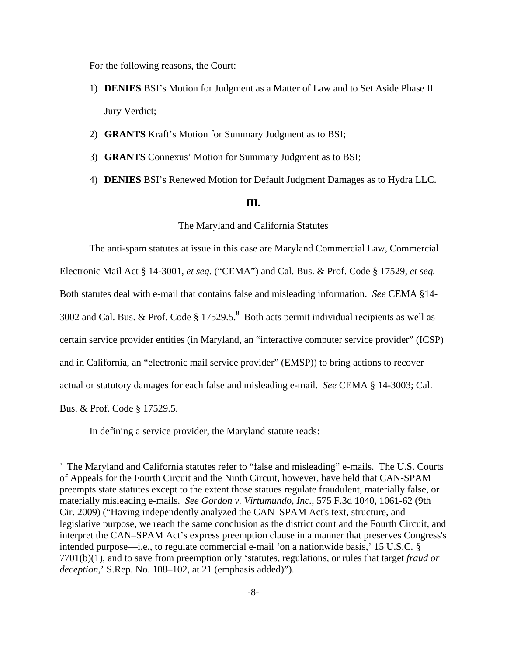For the following reasons, the Court:

- 1) **DENIES** BSI's Motion for Judgment as a Matter of Law and to Set Aside Phase II Jury Verdict;
- 2) **GRANTS** Kraft's Motion for Summary Judgment as to BSI;
- 3) **GRANTS** Connexus' Motion for Summary Judgment as to BSI;
- 4) **DENIES** BSI's Renewed Motion for Default Judgment Damages as to Hydra LLC.

### **III.**

#### The Maryland and California Statutes

The anti-spam statutes at issue in this case are Maryland Commercial Law, Commercial Electronic Mail Act § 14-3001, *et seq.* ("CEMA") and Cal. Bus. & Prof. Code § 17529, *et seq.*  Both statutes deal with e-mail that contains false and misleading information. *See* CEMA §14- 3002 and Cal. Bus. & Prof. Code  $\S 17529.5$ <sup>8</sup> Both acts permit individual recipients as well as certain service provider entities (in Maryland, an "interactive computer service provider" (ICSP) and in California, an "electronic mail service provider" (EMSP)) to bring actions to recover actual or statutory damages for each false and misleading e-mail. *See* CEMA § 14-3003; Cal. Bus. & Prof. Code § 17529.5.

In defining a service provider, the Maryland statute reads:

 $\overline{a}$ 

<sup>&</sup>lt;sup>8</sup> The Maryland and California statutes refer to "false and misleading" e-mails. The U.S. Courts of Appeals for the Fourth Circuit and the Ninth Circuit, however, have held that CAN-SPAM preempts state statutes except to the extent those statues regulate fraudulent, materially false, or materially misleading e-mails. *See Gordon v. Virtumundo, Inc.*, 575 F.3d 1040, 1061-62 (9th Cir. 2009) ("Having independently analyzed the CAN–SPAM Act's text, structure, and legislative purpose, we reach the same conclusion as the district court and the Fourth Circuit, and interpret the CAN–SPAM Act's express preemption clause in a manner that preserves Congress's intended purpose—i.e., to regulate commercial e-mail 'on a nationwide basis,' 15 U.S.C. § 7701(b)(1), and to save from preemption only 'statutes, regulations, or rules that target *fraud or deception,*' S.Rep. No. 108–102, at 21 (emphasis added)").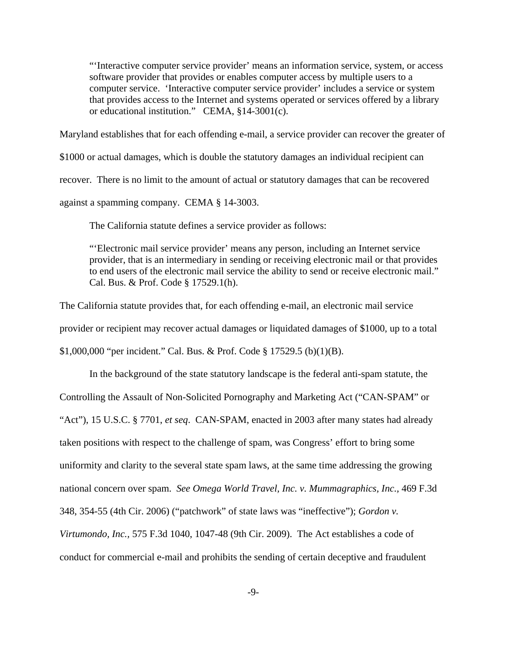"'Interactive computer service provider' means an information service, system, or access software provider that provides or enables computer access by multiple users to a computer service. 'Interactive computer service provider' includes a service or system that provides access to the Internet and systems operated or services offered by a library or educational institution." CEMA, §14-3001(c).

Maryland establishes that for each offending e-mail, a service provider can recover the greater of

\$1000 or actual damages, which is double the statutory damages an individual recipient can

recover. There is no limit to the amount of actual or statutory damages that can be recovered

against a spamming company. CEMA § 14-3003.

The California statute defines a service provider as follows:

"'Electronic mail service provider' means any person, including an Internet service provider, that is an intermediary in sending or receiving electronic mail or that provides to end users of the electronic mail service the ability to send or receive electronic mail." Cal. Bus. & Prof. Code § 17529.1(h).

The California statute provides that, for each offending e-mail, an electronic mail service provider or recipient may recover actual damages or liquidated damages of \$1000, up to a total \$1,000,000 "per incident." Cal. Bus. & Prof. Code § 17529.5 (b)(1)(B).

In the background of the state statutory landscape is the federal anti-spam statute, the Controlling the Assault of Non-Solicited Pornography and Marketing Act ("CAN-SPAM" or "Act"), 15 U.S.C. § 7701, *et seq*. CAN-SPAM, enacted in 2003 after many states had already taken positions with respect to the challenge of spam, was Congress' effort to bring some uniformity and clarity to the several state spam laws, at the same time addressing the growing national concern over spam. *See Omega World Travel, Inc. v. Mummagraphics, Inc.,* 469 F.3d 348, 354-55 (4th Cir. 2006) ("patchwork" of state laws was "ineffective"); *Gordon v. Virtumondo, Inc.,* 575 F.3d 1040, 1047-48 (9th Cir. 2009). The Act establishes a code of conduct for commercial e-mail and prohibits the sending of certain deceptive and fraudulent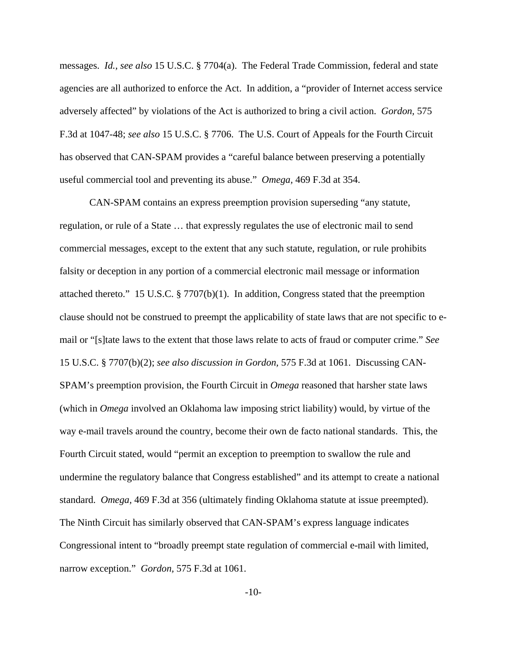messages. *Id., see also* 15 U.S.C. § 7704(a). The Federal Trade Commission, federal and state agencies are all authorized to enforce the Act. In addition, a "provider of Internet access service adversely affected" by violations of the Act is authorized to bring a civil action. *Gordon,* 575 F.3d at 1047-48; *see also* 15 U.S.C. § 7706. The U.S. Court of Appeals for the Fourth Circuit has observed that CAN-SPAM provides a "careful balance between preserving a potentially useful commercial tool and preventing its abuse." *Omega,* 469 F.3d at 354.

CAN-SPAM contains an express preemption provision superseding "any statute, regulation, or rule of a State … that expressly regulates the use of electronic mail to send commercial messages, except to the extent that any such statute, regulation, or rule prohibits falsity or deception in any portion of a commercial electronic mail message or information attached thereto." 15 U.S.C. § 7707(b)(1). In addition, Congress stated that the preemption clause should not be construed to preempt the applicability of state laws that are not specific to email or "[s]tate laws to the extent that those laws relate to acts of fraud or computer crime." *See*  15 U.S.C. § 7707(b)(2); *see also discussion in Gordon,* 575 F.3d at 1061. Discussing CAN-SPAM's preemption provision, the Fourth Circuit in *Omega* reasoned that harsher state laws (which in *Omega* involved an Oklahoma law imposing strict liability) would, by virtue of the way e-mail travels around the country, become their own de facto national standards. This, the Fourth Circuit stated, would "permit an exception to preemption to swallow the rule and undermine the regulatory balance that Congress established" and its attempt to create a national standard. *Omega,* 469 F.3d at 356 (ultimately finding Oklahoma statute at issue preempted). The Ninth Circuit has similarly observed that CAN-SPAM's express language indicates Congressional intent to "broadly preempt state regulation of commercial e-mail with limited, narrow exception." *Gordon,* 575 F.3d at 1061.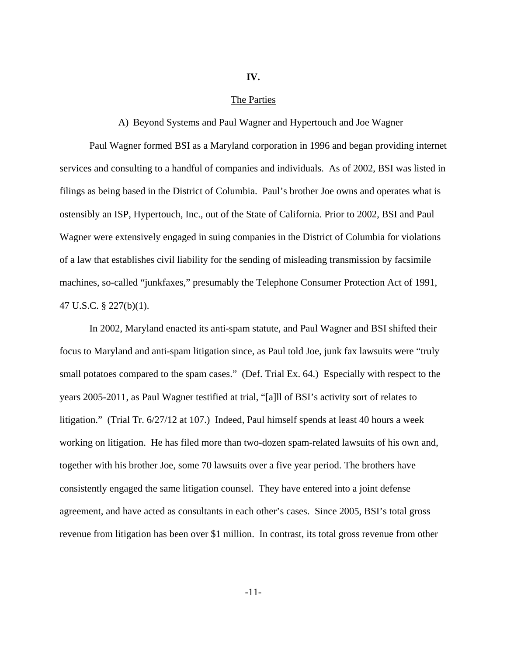# **IV.**

# The Parties

### A) Beyond Systems and Paul Wagner and Hypertouch and Joe Wagner

Paul Wagner formed BSI as a Maryland corporation in 1996 and began providing internet services and consulting to a handful of companies and individuals. As of 2002, BSI was listed in filings as being based in the District of Columbia. Paul's brother Joe owns and operates what is ostensibly an ISP, Hypertouch, Inc., out of the State of California. Prior to 2002, BSI and Paul Wagner were extensively engaged in suing companies in the District of Columbia for violations of a law that establishes civil liability for the sending of misleading transmission by facsimile machines, so-called "junkfaxes," presumably the Telephone Consumer Protection Act of 1991, 47 U.S.C. § 227(b)(1).

In 2002, Maryland enacted its anti-spam statute, and Paul Wagner and BSI shifted their focus to Maryland and anti-spam litigation since, as Paul told Joe, junk fax lawsuits were "truly small potatoes compared to the spam cases." (Def. Trial Ex. 64.) Especially with respect to the years 2005-2011, as Paul Wagner testified at trial, "[a]ll of BSI's activity sort of relates to litigation." (Trial Tr. 6/27/12 at 107.) Indeed, Paul himself spends at least 40 hours a week working on litigation. He has filed more than two-dozen spam-related lawsuits of his own and, together with his brother Joe, some 70 lawsuits over a five year period. The brothers have consistently engaged the same litigation counsel. They have entered into a joint defense agreement, and have acted as consultants in each other's cases. Since 2005, BSI's total gross revenue from litigation has been over \$1 million. In contrast, its total gross revenue from other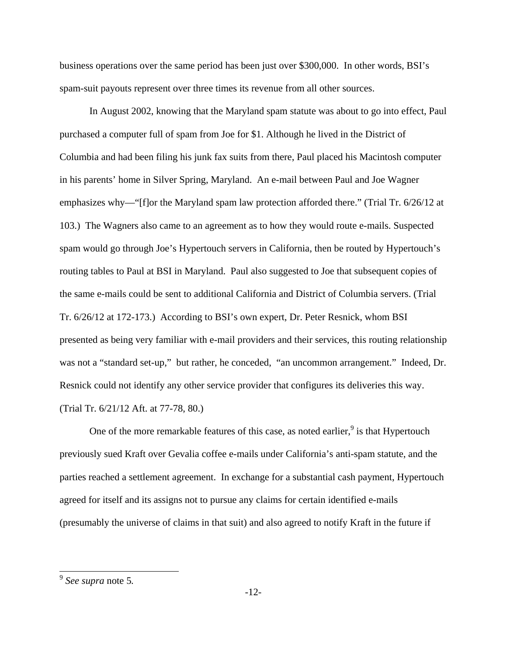business operations over the same period has been just over \$300,000. In other words, BSI's spam-suit payouts represent over three times its revenue from all other sources.

In August 2002, knowing that the Maryland spam statute was about to go into effect, Paul purchased a computer full of spam from Joe for \$1. Although he lived in the District of Columbia and had been filing his junk fax suits from there, Paul placed his Macintosh computer in his parents' home in Silver Spring, Maryland. An e-mail between Paul and Joe Wagner emphasizes why—"[f]or the Maryland spam law protection afforded there." (Trial Tr. 6/26/12 at 103.) The Wagners also came to an agreement as to how they would route e-mails. Suspected spam would go through Joe's Hypertouch servers in California, then be routed by Hypertouch's routing tables to Paul at BSI in Maryland. Paul also suggested to Joe that subsequent copies of the same e-mails could be sent to additional California and District of Columbia servers. (Trial Tr. 6/26/12 at 172-173.) According to BSI's own expert, Dr. Peter Resnick, whom BSI presented as being very familiar with e-mail providers and their services, this routing relationship was not a "standard set-up," but rather, he conceded, "an uncommon arrangement." Indeed, Dr. Resnick could not identify any other service provider that configures its deliveries this way. (Trial Tr. 6/21/12 Aft. at 77-78, 80.)

One of the more remarkable features of this case, as noted earlier,  $9$  is that Hypertouch previously sued Kraft over Gevalia coffee e-mails under California's anti-spam statute, and the parties reached a settlement agreement. In exchange for a substantial cash payment, Hypertouch agreed for itself and its assigns not to pursue any claims for certain identified e-mails (presumably the universe of claims in that suit) and also agreed to notify Kraft in the future if

L

<sup>9</sup> *See supra* note 5*.*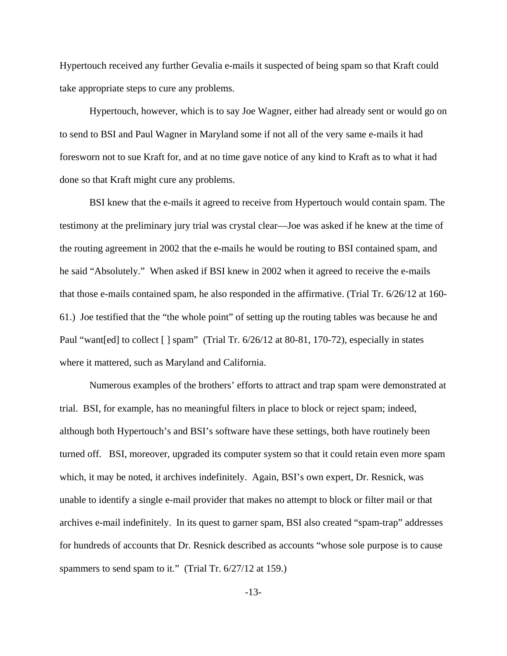Hypertouch received any further Gevalia e-mails it suspected of being spam so that Kraft could take appropriate steps to cure any problems.

Hypertouch, however, which is to say Joe Wagner, either had already sent or would go on to send to BSI and Paul Wagner in Maryland some if not all of the very same e-mails it had foresworn not to sue Kraft for, and at no time gave notice of any kind to Kraft as to what it had done so that Kraft might cure any problems.

BSI knew that the e-mails it agreed to receive from Hypertouch would contain spam. The testimony at the preliminary jury trial was crystal clear—Joe was asked if he knew at the time of the routing agreement in 2002 that the e-mails he would be routing to BSI contained spam, and he said "Absolutely." When asked if BSI knew in 2002 when it agreed to receive the e-mails that those e-mails contained spam, he also responded in the affirmative. (Trial Tr. 6/26/12 at 160- 61.) Joe testified that the "the whole point" of setting up the routing tables was because he and Paul "want[ed] to collect [] spam" (Trial Tr. 6/26/12 at 80-81, 170-72), especially in states where it mattered, such as Maryland and California.

Numerous examples of the brothers' efforts to attract and trap spam were demonstrated at trial. BSI, for example, has no meaningful filters in place to block or reject spam; indeed, although both Hypertouch's and BSI's software have these settings, both have routinely been turned off. BSI, moreover, upgraded its computer system so that it could retain even more spam which, it may be noted, it archives indefinitely. Again, BSI's own expert, Dr. Resnick, was unable to identify a single e-mail provider that makes no attempt to block or filter mail or that archives e-mail indefinitely. In its quest to garner spam, BSI also created "spam-trap" addresses for hundreds of accounts that Dr. Resnick described as accounts "whose sole purpose is to cause spammers to send spam to it." (Trial Tr. 6/27/12 at 159.)

-13-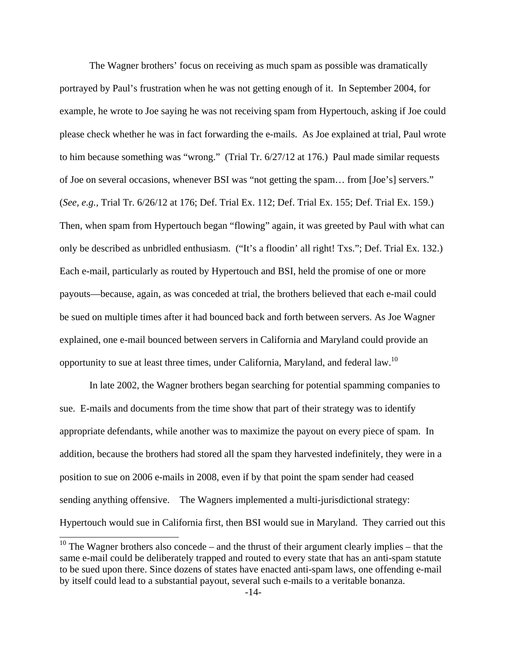The Wagner brothers' focus on receiving as much spam as possible was dramatically portrayed by Paul's frustration when he was not getting enough of it. In September 2004, for example, he wrote to Joe saying he was not receiving spam from Hypertouch, asking if Joe could please check whether he was in fact forwarding the e-mails. As Joe explained at trial, Paul wrote to him because something was "wrong." (Trial Tr. 6/27/12 at 176.) Paul made similar requests of Joe on several occasions, whenever BSI was "not getting the spam… from [Joe's] servers." (*See, e.g.,* Trial Tr. 6/26/12 at 176; Def. Trial Ex. 112; Def. Trial Ex. 155; Def. Trial Ex. 159.) Then, when spam from Hypertouch began "flowing" again, it was greeted by Paul with what can only be described as unbridled enthusiasm. ("It's a floodin' all right! Txs."; Def. Trial Ex. 132.) Each e-mail, particularly as routed by Hypertouch and BSI, held the promise of one or more payouts—because, again, as was conceded at trial, the brothers believed that each e-mail could be sued on multiple times after it had bounced back and forth between servers. As Joe Wagner explained, one e-mail bounced between servers in California and Maryland could provide an opportunity to sue at least three times, under California, Maryland, and federal law.<sup>10</sup>

In late 2002, the Wagner brothers began searching for potential spamming companies to sue. E-mails and documents from the time show that part of their strategy was to identify appropriate defendants, while another was to maximize the payout on every piece of spam. In addition, because the brothers had stored all the spam they harvested indefinitely, they were in a position to sue on 2006 e-mails in 2008, even if by that point the spam sender had ceased sending anything offensive. The Wagners implemented a multi-jurisdictional strategy: Hypertouch would sue in California first, then BSI would sue in Maryland. They carried out this

 $\overline{a}$ 

 $10$  The Wagner brothers also concede – and the thrust of their argument clearly implies – that the same e-mail could be deliberately trapped and routed to every state that has an anti-spam statute to be sued upon there. Since dozens of states have enacted anti-spam laws, one offending e-mail by itself could lead to a substantial payout, several such e-mails to a veritable bonanza.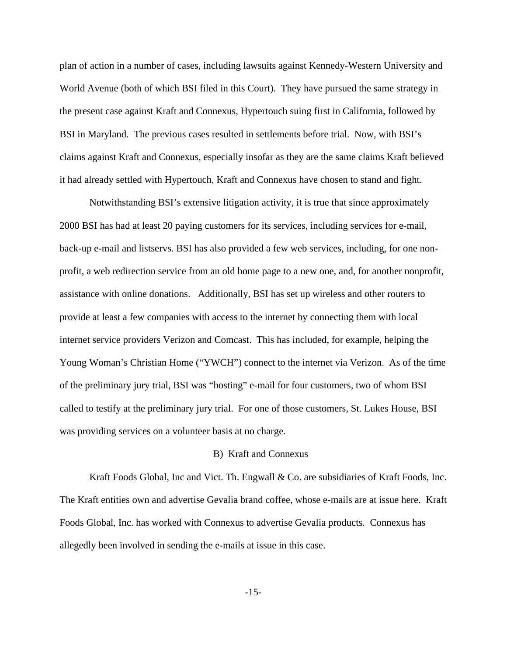plan of action in a number of cases, including lawsuits against Kennedy-Western University and World Avenue (both of which BSI filed in this Court). They have pursued the same strategy in the present case against Kraft and Connexus, Hypertouch suing first in California, followed by BSI in Maryland. The previous cases resulted in settlements before trial. Now, with BSI's claims against Kraft and Connexus, especially insofar as they are the same claims Kraft believed it had already settled with Hypertouch, Kraft and Connexus have chosen to stand and fight.

Notwithstanding BSI's extensive litigation activity, it is true that since approximately 2000 BSI has had at least 20 paying customers for its services, including services for e-mail, back-up e-mail and listservs. BSI has also provided a few web services, including, for one nonprofit, a web redirection service from an old home page to a new one, and, for another nonprofit, assistance with online donations. Additionally, BSI has set up wireless and other routers to provide at least a few companies with access to the internet by connecting them with local internet service providers Verizon and Comcast. This has included, for example, helping the Young Woman's Christian Home ("YWCH") connect to the internet via Verizon. As of the time of the preliminary jury trial, BSI was "hosting" e-mail for four customers, two of whom BSI called to testify at the preliminary jury trial. For one of those customers, St. Lukes House, BSI was providing services on a volunteer basis at no charge.

# B) Kraft and Connexus

Kraft Foods Global, Inc and Vict. Th. Engwall & Co. are subsidiaries of Kraft Foods, Inc. The Kraft entities own and advertise Gevalia brand coffee, whose e-mails are at issue here. Kraft Foods Global, Inc. has worked with Connexus to advertise Gevalia products. Connexus has allegedly been involved in sending the e-mails at issue in this case.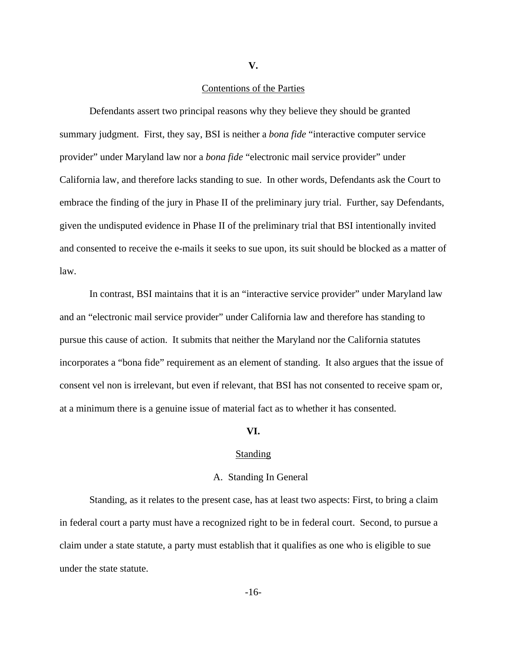**V.** 

### Contentions of the Parties

 Defendants assert two principal reasons why they believe they should be granted summary judgment. First, they say, BSI is neither a *bona fide* "interactive computer service provider" under Maryland law nor a *bona fide* "electronic mail service provider" under California law, and therefore lacks standing to sue. In other words, Defendants ask the Court to embrace the finding of the jury in Phase II of the preliminary jury trial. Further, say Defendants, given the undisputed evidence in Phase II of the preliminary trial that BSI intentionally invited and consented to receive the e-mails it seeks to sue upon, its suit should be blocked as a matter of law.

 In contrast, BSI maintains that it is an "interactive service provider" under Maryland law and an "electronic mail service provider" under California law and therefore has standing to pursue this cause of action. It submits that neither the Maryland nor the California statutes incorporates a "bona fide" requirement as an element of standing. It also argues that the issue of consent vel non is irrelevant, but even if relevant, that BSI has not consented to receive spam or, at a minimum there is a genuine issue of material fact as to whether it has consented.

#### **VI.**

### **Standing**

#### A. Standing In General

Standing, as it relates to the present case, has at least two aspects: First, to bring a claim in federal court a party must have a recognized right to be in federal court. Second, to pursue a claim under a state statute, a party must establish that it qualifies as one who is eligible to sue under the state statute.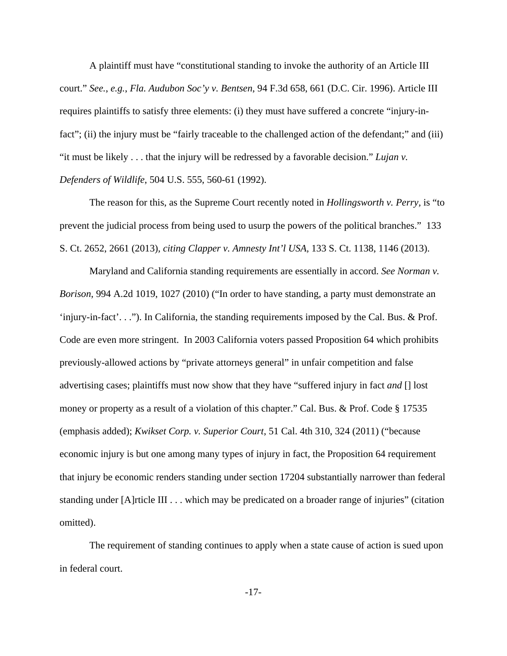A plaintiff must have "constitutional standing to invoke the authority of an Article III court." *See.*, *e.g.*, *Fla. Audubon Soc'y v. Bentsen*, 94 F.3d 658, 661 (D.C. Cir. 1996). Article III requires plaintiffs to satisfy three elements: (i) they must have suffered a concrete "injury-infact"; (ii) the injury must be "fairly traceable to the challenged action of the defendant;" and (iii) "it must be likely . . . that the injury will be redressed by a favorable decision." *Lujan v. Defenders of Wildlife*, 504 U.S. 555, 560-61 (1992).

 The reason for this, as the Supreme Court recently noted in *Hollingsworth v. Perry,* is "to prevent the judicial process from being used to usurp the powers of the political branches." 133 S. Ct. 2652, 2661 (2013)*, citing Clapper v. Amnesty Int'l USA,* 133 S. Ct. 1138, 1146 (2013).

Maryland and California standing requirements are essentially in accord. *See Norman v. Borison*, 994 A.2d 1019, 1027 (2010) ("In order to have standing, a party must demonstrate an 'injury-in-fact'. . ."). In California, the standing requirements imposed by the Cal. Bus. & Prof. Code are even more stringent. In 2003 California voters passed Proposition 64 which prohibits previously-allowed actions by "private attorneys general" in unfair competition and false advertising cases; plaintiffs must now show that they have "suffered injury in fact *and* [] lost money or property as a result of a violation of this chapter." Cal. Bus. & Prof. Code § 17535 (emphasis added); *Kwikset Corp. v. Superior Court*, 51 Cal. 4th 310, 324 (2011) ("because economic injury is but one among many types of injury in fact, the Proposition 64 requirement that injury be economic renders standing under section 17204 substantially narrower than federal standing under [A]rticle III . . . which may be predicated on a broader range of injuries" (citation omitted).

The requirement of standing continues to apply when a state cause of action is sued upon in federal court.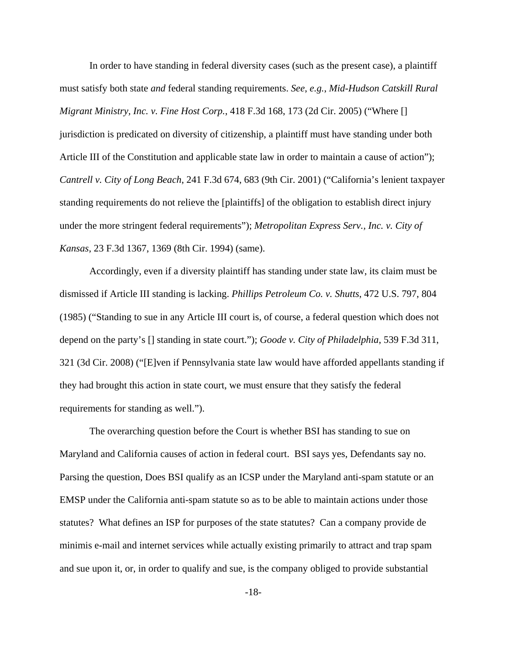In order to have standing in federal diversity cases (such as the present case), a plaintiff must satisfy both state *and* federal standing requirements. *See*, *e.g.*, *Mid-Hudson Catskill Rural Migrant Ministry, Inc. v. Fine Host Corp.*, 418 F.3d 168, 173 (2d Cir. 2005) ("Where [] jurisdiction is predicated on diversity of citizenship, a plaintiff must have standing under both Article III of the Constitution and applicable state law in order to maintain a cause of action"); *Cantrell v. City of Long Beach*, 241 F.3d 674, 683 (9th Cir. 2001) ("California's lenient taxpayer standing requirements do not relieve the [plaintiffs] of the obligation to establish direct injury under the more stringent federal requirements"); *Metropolitan Express Serv., Inc. v. City of Kansas*, 23 F.3d 1367, 1369 (8th Cir. 1994) (same).

Accordingly, even if a diversity plaintiff has standing under state law, its claim must be dismissed if Article III standing is lacking. *Phillips Petroleum Co. v. Shutts*, 472 U.S. 797, 804 (1985) ("Standing to sue in any Article III court is, of course, a federal question which does not depend on the party's [] standing in state court."); *Goode v. City of Philadelphia*, 539 F.3d 311, 321 (3d Cir. 2008) ("[E]ven if Pennsylvania state law would have afforded appellants standing if they had brought this action in state court, we must ensure that they satisfy the federal requirements for standing as well.").

The overarching question before the Court is whether BSI has standing to sue on Maryland and California causes of action in federal court. BSI says yes, Defendants say no. Parsing the question, Does BSI qualify as an ICSP under the Maryland anti-spam statute or an EMSP under the California anti-spam statute so as to be able to maintain actions under those statutes? What defines an ISP for purposes of the state statutes? Can a company provide de minimis e-mail and internet services while actually existing primarily to attract and trap spam and sue upon it, or, in order to qualify and sue, is the company obliged to provide substantial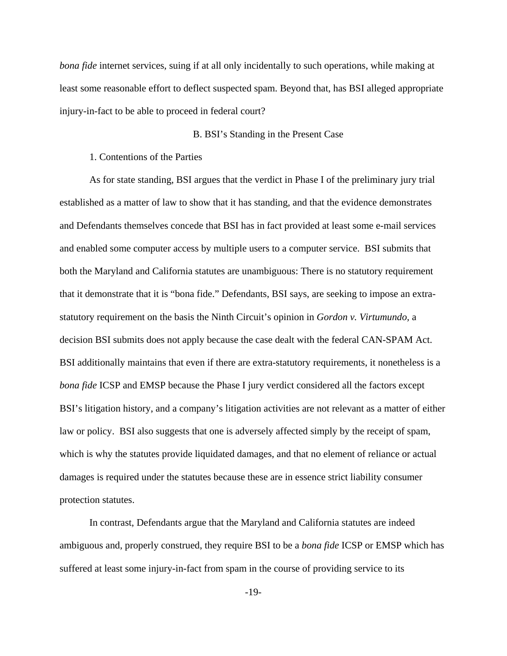*bona fide* internet services, suing if at all only incidentally to such operations, while making at least some reasonable effort to deflect suspected spam. Beyond that, has BSI alleged appropriate injury-in-fact to be able to proceed in federal court?

# B. BSI's Standing in the Present Case

1. Contentions of the Parties

As for state standing, BSI argues that the verdict in Phase I of the preliminary jury trial established as a matter of law to show that it has standing, and that the evidence demonstrates and Defendants themselves concede that BSI has in fact provided at least some e-mail services and enabled some computer access by multiple users to a computer service. BSI submits that both the Maryland and California statutes are unambiguous: There is no statutory requirement that it demonstrate that it is "bona fide." Defendants, BSI says, are seeking to impose an extrastatutory requirement on the basis the Ninth Circuit's opinion in *Gordon v. Virtumundo,* a decision BSI submits does not apply because the case dealt with the federal CAN-SPAM Act. BSI additionally maintains that even if there are extra-statutory requirements, it nonetheless is a *bona fide* ICSP and EMSP because the Phase I jury verdict considered all the factors except BSI's litigation history, and a company's litigation activities are not relevant as a matter of either law or policy. BSI also suggests that one is adversely affected simply by the receipt of spam, which is why the statutes provide liquidated damages, and that no element of reliance or actual damages is required under the statutes because these are in essence strict liability consumer protection statutes.

In contrast, Defendants argue that the Maryland and California statutes are indeed ambiguous and, properly construed, they require BSI to be a *bona fide* ICSP or EMSP which has suffered at least some injury-in-fact from spam in the course of providing service to its

-19-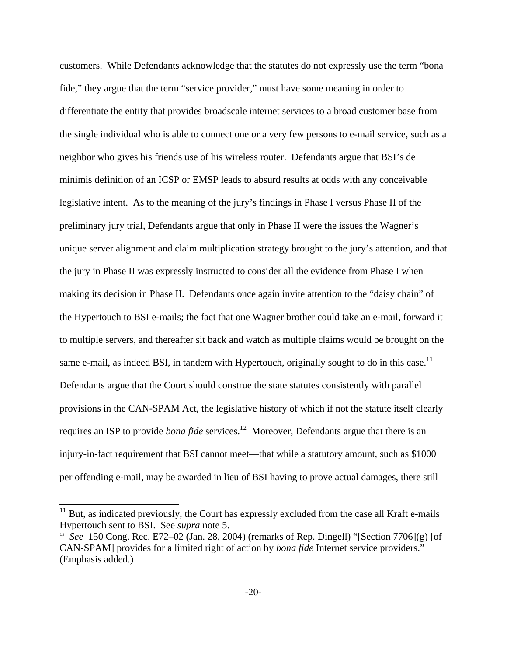customers. While Defendants acknowledge that the statutes do not expressly use the term "bona fide," they argue that the term "service provider," must have some meaning in order to differentiate the entity that provides broadscale internet services to a broad customer base from the single individual who is able to connect one or a very few persons to e-mail service, such as a neighbor who gives his friends use of his wireless router. Defendants argue that BSI's de minimis definition of an ICSP or EMSP leads to absurd results at odds with any conceivable legislative intent. As to the meaning of the jury's findings in Phase I versus Phase II of the preliminary jury trial, Defendants argue that only in Phase II were the issues the Wagner's unique server alignment and claim multiplication strategy brought to the jury's attention, and that the jury in Phase II was expressly instructed to consider all the evidence from Phase I when making its decision in Phase II. Defendants once again invite attention to the "daisy chain" of the Hypertouch to BSI e-mails; the fact that one Wagner brother could take an e-mail, forward it to multiple servers, and thereafter sit back and watch as multiple claims would be brought on the same e-mail, as indeed BSI, in tandem with Hypertouch, originally sought to do in this case.<sup>11</sup> Defendants argue that the Court should construe the state statutes consistently with parallel provisions in the CAN-SPAM Act, the legislative history of which if not the statute itself clearly requires an ISP to provide *bona fide* services.<sup>12</sup> Moreover, Defendants argue that there is an injury-in-fact requirement that BSI cannot meet—that while a statutory amount, such as \$1000 per offending e-mail, may be awarded in lieu of BSI having to prove actual damages, there still

L

 $11$  But, as indicated previously, the Court has expressly excluded from the case all Kraft e-mails Hypertouch sent to BSI. See *supra* note 5.

<sup>12</sup> *See* 150 Cong. Rec. E72–02 (Jan. 28, 2004) (remarks of Rep. Dingell) "[Section 7706](g) [of CAN-SPAM] provides for a limited right of action by *bona fide* Internet service providers." (Emphasis added.)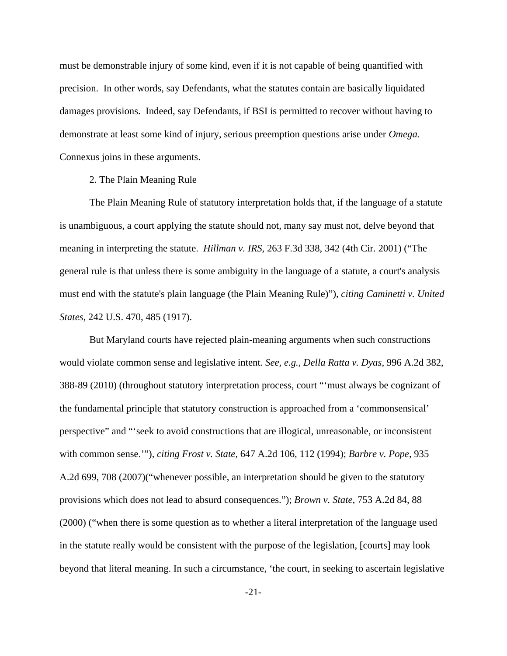must be demonstrable injury of some kind, even if it is not capable of being quantified with precision. In other words, say Defendants, what the statutes contain are basically liquidated damages provisions. Indeed, say Defendants, if BSI is permitted to recover without having to demonstrate at least some kind of injury, serious preemption questions arise under *Omega.*  Connexus joins in these arguments.

# 2. The Plain Meaning Rule

The Plain Meaning Rule of statutory interpretation holds that, if the language of a statute is unambiguous, a court applying the statute should not, many say must not, delve beyond that meaning in interpreting the statute. *Hillman v. IRS,* 263 F.3d 338, 342 (4th Cir. 2001) ("The general rule is that unless there is some ambiguity in the language of a statute, a court's analysis must end with the statute's plain language (the Plain Meaning Rule)"), *citing Caminetti v. United States,* 242 U.S. 470, 485 (1917).

But Maryland courts have rejected plain-meaning arguments when such constructions would violate common sense and legislative intent. *See, e.g., Della Ratta v. Dyas*, 996 A.2d 382, 388-89 (2010) (throughout statutory interpretation process, court "'must always be cognizant of the fundamental principle that statutory construction is approached from a 'commonsensical' perspective" and "'seek to avoid constructions that are illogical, unreasonable, or inconsistent with common sense.'"), *citing Frost v. State,* 647 A.2d 106, 112 (1994); *Barbre v. Pope*, 935 A.2d 699, 708 (2007)("whenever possible, an interpretation should be given to the statutory provisions which does not lead to absurd consequences."); *Brown v. State,* 753 A.2d 84, 88 (2000) ("when there is some question as to whether a literal interpretation of the language used in the statute really would be consistent with the purpose of the legislation, [courts] may look beyond that literal meaning. In such a circumstance, 'the court, in seeking to ascertain legislative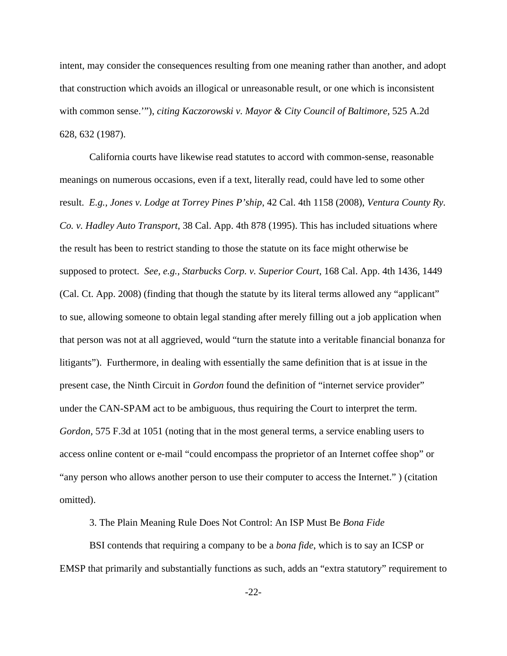intent, may consider the consequences resulting from one meaning rather than another, and adopt that construction which avoids an illogical or unreasonable result, or one which is inconsistent with common sense.'"), *citing Kaczorowski v. Mayor & City Council of Baltimore*, 525 A.2d 628, 632 (1987).

California courts have likewise read statutes to accord with common-sense, reasonable meanings on numerous occasions, even if a text, literally read, could have led to some other result. *E.g., Jones v. Lodge at Torrey Pines P'ship*, 42 Cal. 4th 1158 (2008), *Ventura County Ry. Co. v. Hadley Auto Transport*, 38 Cal. App. 4th 878 (1995). This has included situations where the result has been to restrict standing to those the statute on its face might otherwise be supposed to protect. *See, e.g., Starbucks Corp. v. Superior Court,* 168 Cal. App. 4th 1436, 1449 (Cal. Ct. App. 2008) (finding that though the statute by its literal terms allowed any "applicant" to sue, allowing someone to obtain legal standing after merely filling out a job application when that person was not at all aggrieved, would "turn the statute into a veritable financial bonanza for litigants"). Furthermore, in dealing with essentially the same definition that is at issue in the present case, the Ninth Circuit in *Gordon* found the definition of "internet service provider" under the CAN-SPAM act to be ambiguous, thus requiring the Court to interpret the term. *Gordon,* 575 F.3d at 1051 (noting that in the most general terms, a service enabling users to access online content or e-mail "could encompass the proprietor of an Internet coffee shop" or "any person who allows another person to use their computer to access the Internet." ) (citation omitted).

3. The Plain Meaning Rule Does Not Control: An ISP Must Be *Bona Fide* 

BSI contends that requiring a company to be a *bona fide*, which is to say an ICSP or EMSP that primarily and substantially functions as such, adds an "extra statutory" requirement to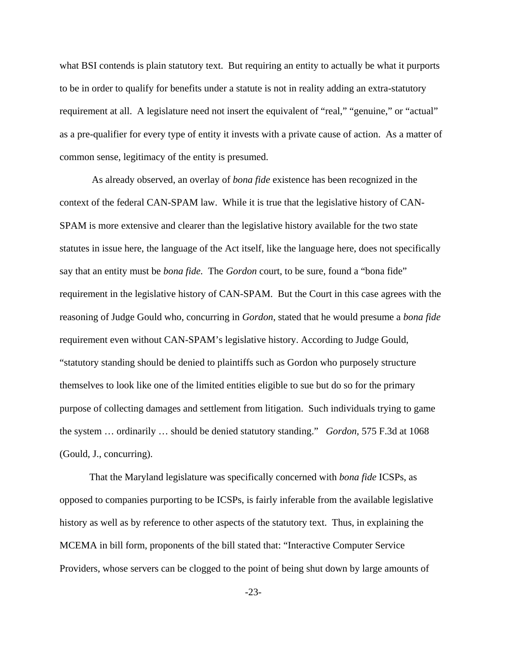what BSI contends is plain statutory text. But requiring an entity to actually be what it purports to be in order to qualify for benefits under a statute is not in reality adding an extra-statutory requirement at all. A legislature need not insert the equivalent of "real," "genuine," or "actual" as a pre-qualifier for every type of entity it invests with a private cause of action. As a matter of common sense, legitimacy of the entity is presumed.

 As already observed, an overlay of *bona fide* existence has been recognized in the context of the federal CAN-SPAM law. While it is true that the legislative history of CAN-SPAM is more extensive and clearer than the legislative history available for the two state statutes in issue here, the language of the Act itself, like the language here, does not specifically say that an entity must be *bona fide.* The *Gordon* court, to be sure, found a "bona fide" requirement in the legislative history of CAN-SPAM. But the Court in this case agrees with the reasoning of Judge Gould who, concurring in *Gordon*, stated that he would presume a *bona fide*  requirement even without CAN-SPAM's legislative history. According to Judge Gould, "statutory standing should be denied to plaintiffs such as Gordon who purposely structure themselves to look like one of the limited entities eligible to sue but do so for the primary purpose of collecting damages and settlement from litigation. Such individuals trying to game the system … ordinarily … should be denied statutory standing." *Gordon,* 575 F.3d at 1068 (Gould, J., concurring).

That the Maryland legislature was specifically concerned with *bona fide* ICSPs, as opposed to companies purporting to be ICSPs, is fairly inferable from the available legislative history as well as by reference to other aspects of the statutory text. Thus, in explaining the MCEMA in bill form, proponents of the bill stated that: "Interactive Computer Service Providers, whose servers can be clogged to the point of being shut down by large amounts of

-23-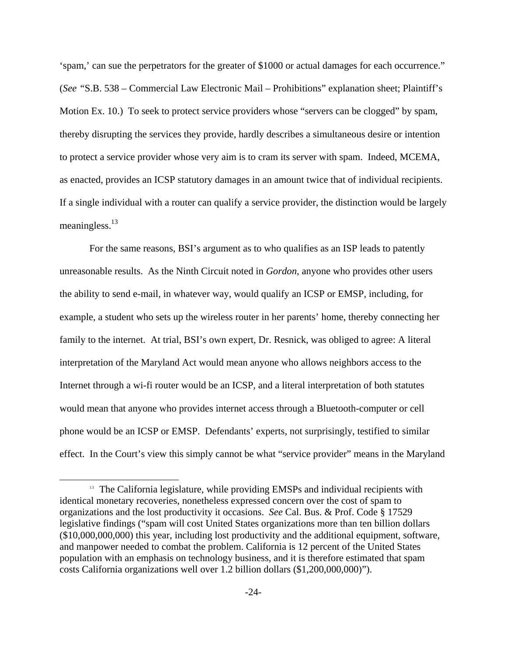'spam,' can sue the perpetrators for the greater of \$1000 or actual damages for each occurrence." (*See "*S.B. 538 – Commercial Law Electronic Mail – Prohibitions" explanation sheet; Plaintiff's Motion Ex. 10.) To seek to protect service providers whose "servers can be clogged" by spam, thereby disrupting the services they provide, hardly describes a simultaneous desire or intention to protect a service provider whose very aim is to cram its server with spam. Indeed, MCEMA, as enacted, provides an ICSP statutory damages in an amount twice that of individual recipients. If a single individual with a router can qualify a service provider, the distinction would be largely meaningless.<sup>13</sup>

For the same reasons, BSI's argument as to who qualifies as an ISP leads to patently unreasonable results. As the Ninth Circuit noted in *Gordon*, anyone who provides other users the ability to send e-mail, in whatever way, would qualify an ICSP or EMSP, including, for example, a student who sets up the wireless router in her parents' home, thereby connecting her family to the internet. At trial, BSI's own expert, Dr. Resnick, was obliged to agree: A literal interpretation of the Maryland Act would mean anyone who allows neighbors access to the Internet through a wi-fi router would be an ICSP, and a literal interpretation of both statutes would mean that anyone who provides internet access through a Bluetooth-computer or cell phone would be an ICSP or EMSP. Defendants' experts, not surprisingly, testified to similar effect. In the Court's view this simply cannot be what "service provider" means in the Maryland

 $\overline{a}$ 

<sup>&</sup>lt;sup>13</sup> The California legislature, while providing EMSPs and individual recipients with identical monetary recoveries, nonetheless expressed concern over the cost of spam to organizations and the lost productivity it occasions. *See* Cal. Bus. & Prof. Code § 17529 legislative findings ("spam will cost United States organizations more than ten billion dollars (\$10,000,000,000) this year, including lost productivity and the additional equipment, software, and manpower needed to combat the problem. California is 12 percent of the United States population with an emphasis on technology business, and it is therefore estimated that spam costs California organizations well over 1.2 billion dollars (\$1,200,000,000)").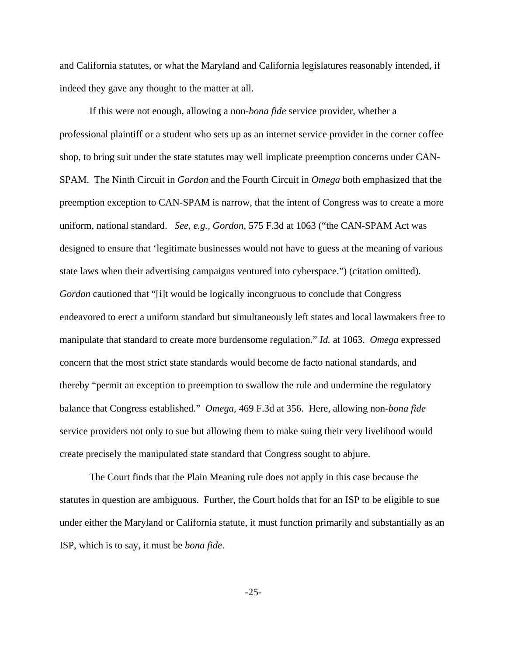and California statutes, or what the Maryland and California legislatures reasonably intended, if indeed they gave any thought to the matter at all.

If this were not enough, allowing a non-*bona fide* service provider, whether a professional plaintiff or a student who sets up as an internet service provider in the corner coffee shop, to bring suit under the state statutes may well implicate preemption concerns under CAN-SPAM. The Ninth Circuit in *Gordon* and the Fourth Circuit in *Omega* both emphasized that the preemption exception to CAN-SPAM is narrow, that the intent of Congress was to create a more uniform, national standard. *See, e.g., Gordon,* 575 F.3d at 1063 ("the CAN-SPAM Act was designed to ensure that 'legitimate businesses would not have to guess at the meaning of various state laws when their advertising campaigns ventured into cyberspace.") (citation omitted). *Gordon* cautioned that "[i]t would be logically incongruous to conclude that Congress endeavored to erect a uniform standard but simultaneously left states and local lawmakers free to manipulate that standard to create more burdensome regulation." *Id.* at 1063. *Omega* expressed concern that the most strict state standards would become de facto national standards, and thereby "permit an exception to preemption to swallow the rule and undermine the regulatory balance that Congress established." *Omega,* 469 F.3d at 356. Here, allowing non-*bona fide*  service providers not only to sue but allowing them to make suing their very livelihood would create precisely the manipulated state standard that Congress sought to abjure.

The Court finds that the Plain Meaning rule does not apply in this case because the statutes in question are ambiguous. Further, the Court holds that for an ISP to be eligible to sue under either the Maryland or California statute, it must function primarily and substantially as an ISP, which is to say, it must be *bona fide*.

-25-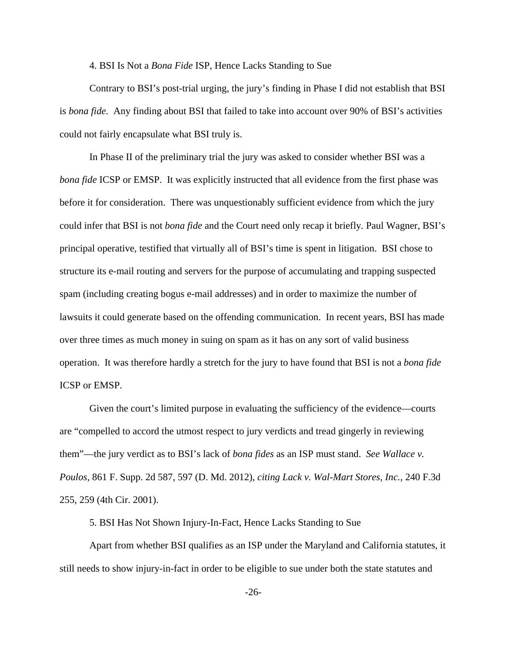4. BSI Is Not a *Bona Fide* ISP, Hence Lacks Standing to Sue

Contrary to BSI's post-trial urging, the jury's finding in Phase I did not establish that BSI is *bona fide*. Any finding about BSI that failed to take into account over 90% of BSI's activities could not fairly encapsulate what BSI truly is.

In Phase II of the preliminary trial the jury was asked to consider whether BSI was a *bona fide* ICSP or EMSP. It was explicitly instructed that all evidence from the first phase was before it for consideration. There was unquestionably sufficient evidence from which the jury could infer that BSI is not *bona fide* and the Court need only recap it briefly*.* Paul Wagner, BSI's principal operative, testified that virtually all of BSI's time is spent in litigation. BSI chose to structure its e-mail routing and servers for the purpose of accumulating and trapping suspected spam (including creating bogus e-mail addresses) and in order to maximize the number of lawsuits it could generate based on the offending communication. In recent years, BSI has made over three times as much money in suing on spam as it has on any sort of valid business operation. It was therefore hardly a stretch for the jury to have found that BSI is not a *bona fide*  ICSP or EMSP.

Given the court's limited purpose in evaluating the sufficiency of the evidence—courts are "compelled to accord the utmost respect to jury verdicts and tread gingerly in reviewing them"—the jury verdict as to BSI's lack of *bona fides* as an ISP must stand. *See Wallace v. Poulos,* 861 F. Supp. 2d 587, 597 (D. Md. 2012), *citing Lack v. Wal-Mart Stores, Inc.,* 240 F.3d 255, 259 (4th Cir. 2001).

5. BSI Has Not Shown Injury-In-Fact, Hence Lacks Standing to Sue

Apart from whether BSI qualifies as an ISP under the Maryland and California statutes, it still needs to show injury-in-fact in order to be eligible to sue under both the state statutes and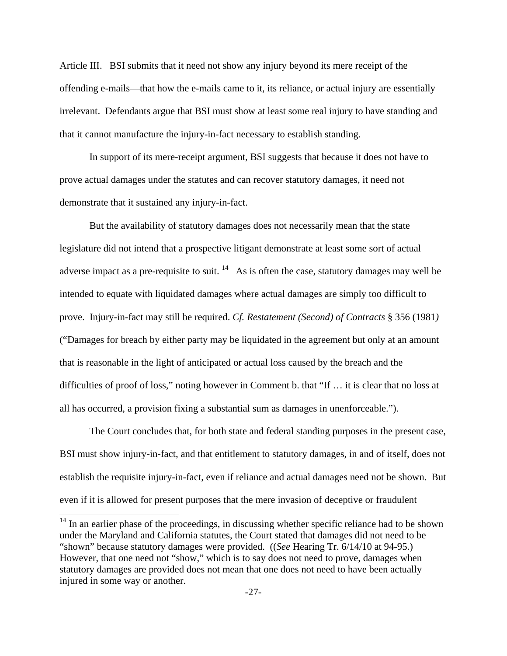Article III. BSI submits that it need not show any injury beyond its mere receipt of the offending e-mails—that how the e-mails came to it, its reliance, or actual injury are essentially irrelevant. Defendants argue that BSI must show at least some real injury to have standing and that it cannot manufacture the injury-in-fact necessary to establish standing.

In support of its mere-receipt argument, BSI suggests that because it does not have to prove actual damages under the statutes and can recover statutory damages, it need not demonstrate that it sustained any injury-in-fact.

But the availability of statutory damages does not necessarily mean that the state legislature did not intend that a prospective litigant demonstrate at least some sort of actual adverse impact as a pre-requisite to suit.  $14$  As is often the case, statutory damages may well be intended to equate with liquidated damages where actual damages are simply too difficult to prove. Injury-in-fact may still be required. *Cf. Restatement (Second) of Contracts* § 356 (1981*)*  ("Damages for breach by either party may be liquidated in the agreement but only at an amount that is reasonable in the light of anticipated or actual loss caused by the breach and the difficulties of proof of loss," noting however in Comment b. that "If … it is clear that no loss at all has occurred, a provision fixing a substantial sum as damages in unenforceable.").

The Court concludes that, for both state and federal standing purposes in the present case, BSI must show injury-in-fact, and that entitlement to statutory damages, in and of itself, does not establish the requisite injury-in-fact, even if reliance and actual damages need not be shown. But even if it is allowed for present purposes that the mere invasion of deceptive or fraudulent

L

 $14$  In an earlier phase of the proceedings, in discussing whether specific reliance had to be shown under the Maryland and California statutes, the Court stated that damages did not need to be "shown" because statutory damages were provided. ((*See* Hearing Tr. 6/14/10 at 94-95.) However, that one need not "show," which is to say does not need to prove, damages when statutory damages are provided does not mean that one does not need to have been actually injured in some way or another.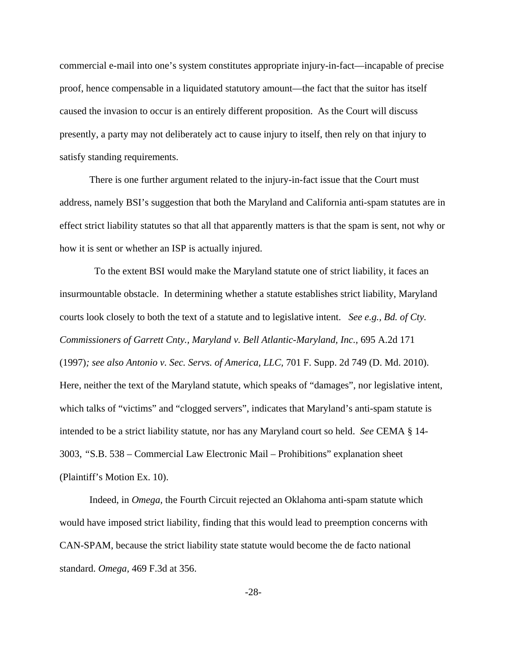commercial e-mail into one's system constitutes appropriate injury-in-fact—incapable of precise proof, hence compensable in a liquidated statutory amount—the fact that the suitor has itself caused the invasion to occur is an entirely different proposition. As the Court will discuss presently, a party may not deliberately act to cause injury to itself, then rely on that injury to satisfy standing requirements.

There is one further argument related to the injury-in-fact issue that the Court must address, namely BSI's suggestion that both the Maryland and California anti-spam statutes are in effect strict liability statutes so that all that apparently matters is that the spam is sent, not why or how it is sent or whether an ISP is actually injured.

 To the extent BSI would make the Maryland statute one of strict liability, it faces an insurmountable obstacle. In determining whether a statute establishes strict liability, Maryland courts look closely to both the text of a statute and to legislative intent. *See e.g., Bd. of Cty. Commissioners of Garrett Cnty., Maryland v. Bell Atlantic-Maryland, Inc.,* 695 A.2d 171 (1997)*; see also Antonio v. Sec. Servs. of America, LLC,* 701 F. Supp. 2d 749 (D. Md. 2010). Here, neither the text of the Maryland statute, which speaks of "damages", nor legislative intent, which talks of "victims" and "clogged servers", indicates that Maryland's anti-spam statute is intended to be a strict liability statute, nor has any Maryland court so held. *See* CEMA § 14- 3003, *"*S.B. 538 – Commercial Law Electronic Mail – Prohibitions" explanation sheet (Plaintiff's Motion Ex. 10).

Indeed, in *Omega,* the Fourth Circuit rejected an Oklahoma anti-spam statute which would have imposed strict liability, finding that this would lead to preemption concerns with CAN-SPAM, because the strict liability state statute would become the de facto national standard. *Omega,* 469 F.3d at 356.

-28-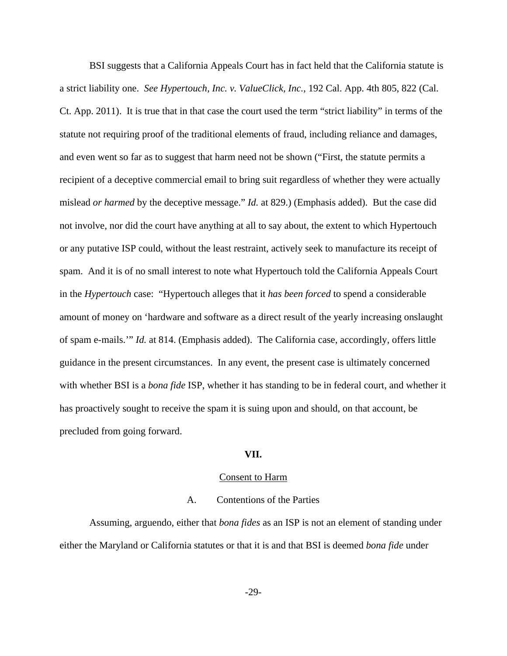BSI suggests that a California Appeals Court has in fact held that the California statute is a strict liability one. *See Hypertouch, Inc. v. ValueClick, Inc.,* 192 Cal. App. 4th 805, 822 (Cal. Ct. App. 2011). It is true that in that case the court used the term "strict liability" in terms of the statute not requiring proof of the traditional elements of fraud, including reliance and damages, and even went so far as to suggest that harm need not be shown ("First, the statute permits a recipient of a deceptive commercial email to bring suit regardless of whether they were actually mislead *or harmed* by the deceptive message." *Id.* at 829.) (Emphasis added). But the case did not involve, nor did the court have anything at all to say about, the extent to which Hypertouch or any putative ISP could, without the least restraint, actively seek to manufacture its receipt of spam. And it is of no small interest to note what Hypertouch told the California Appeals Court in the *Hypertouch* case: "Hypertouch alleges that it *has been forced* to spend a considerable amount of money on 'hardware and software as a direct result of the yearly increasing onslaught of spam e-mails.'" *Id.* at 814. (Emphasis added). The California case, accordingly, offers little guidance in the present circumstances. In any event, the present case is ultimately concerned with whether BSI is a *bona fide* ISP, whether it has standing to be in federal court, and whether it has proactively sought to receive the spam it is suing upon and should, on that account, be precluded from going forward.

# **VII.**

#### Consent to Harm

### A. Contentions of the Parties

Assuming, arguendo, either that *bona fides* as an ISP is not an element of standing under either the Maryland or California statutes or that it is and that BSI is deemed *bona fide* under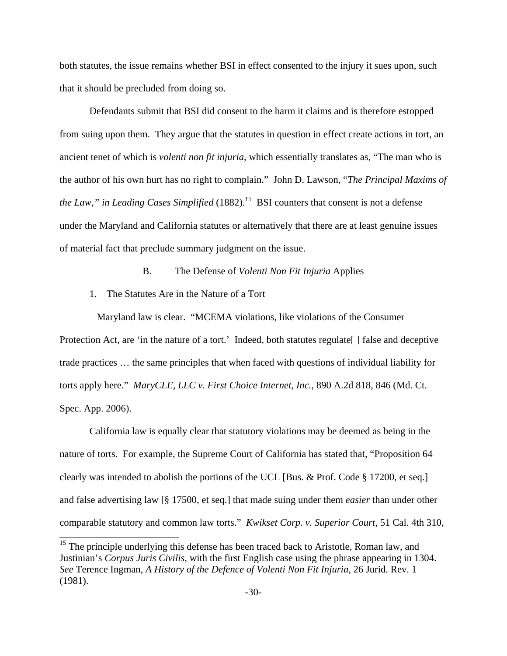both statutes, the issue remains whether BSI in effect consented to the injury it sues upon, such that it should be precluded from doing so.

 Defendants submit that BSI did consent to the harm it claims and is therefore estopped from suing upon them. They argue that the statutes in question in effect create actions in tort, an ancient tenet of which is *volenti non fit injuria*, which essentially translates as, "The man who is the author of his own hurt has no right to complain." John D. Lawson, "*The Principal Maxims of the Law," in Leading Cases Simplified* (1882)*.* <sup>15</sup> BSI counters that consent is not a defense under the Maryland and California statutes or alternatively that there are at least genuine issues of material fact that preclude summary judgment on the issue.

B. The Defense of *Volenti Non Fit Injuria* Applies

1. The Statutes Are in the Nature of a Tort

L

 Maryland law is clear. "MCEMA violations, like violations of the Consumer Protection Act, are 'in the nature of a tort.' Indeed, both statutes regulate [] false and deceptive trade practices … the same principles that when faced with questions of individual liability for torts apply here." *MaryCLE, LLC v. First Choice Internet, Inc.,* 890 A.2d 818, 846 (Md. Ct. Spec. App. 2006).

California law is equally clear that statutory violations may be deemed as being in the nature of torts. For example, the Supreme Court of California has stated that, "Proposition 64 clearly was intended to abolish the portions of the UCL [Bus. & Prof. Code § 17200, et seq.] and false advertising law [§ 17500, et seq.] that made suing under them *easier* than under other comparable statutory and common law torts." *Kwikset Corp. v. Superior Court*, 51 Cal. 4th 310,

<sup>&</sup>lt;sup>15</sup> The principle underlying this defense has been traced back to Aristotle, Roman law, and Justinian's *Corpus Juris Civilis*, with the first English case using the phrase appearing in 1304. *See* Terence Ingman, *A History of the Defence of Volenti Non Fit Injuria,* 26 Jurid. Rev. 1 (1981).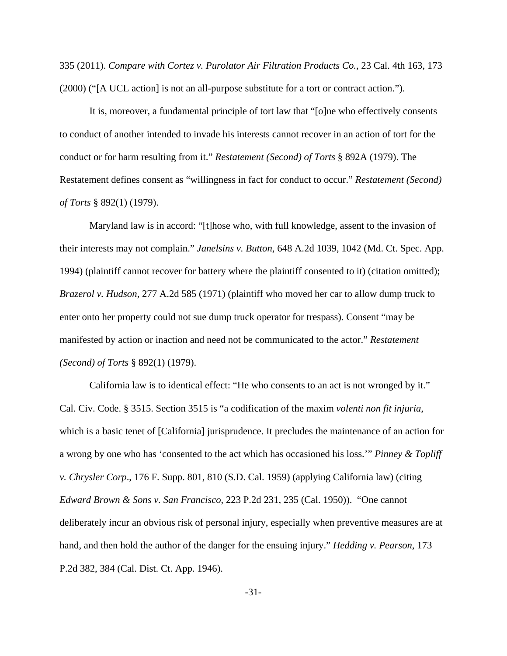335 (2011). *Compare with Cortez v. Purolator Air Filtration Products Co.*, 23 Cal. 4th 163, 173 (2000) ("[A UCL action] is not an all-purpose substitute for a tort or contract action.").

It is, moreover, a fundamental principle of tort law that "[o]ne who effectively consents to conduct of another intended to invade his interests cannot recover in an action of tort for the conduct or for harm resulting from it." *Restatement (Second) of Torts* § 892A (1979). The Restatement defines consent as "willingness in fact for conduct to occur." *Restatement (Second) of Torts* § 892(1) (1979).

Maryland law is in accord: "[t]hose who, with full knowledge, assent to the invasion of their interests may not complain." *Janelsins v. Button*, 648 A.2d 1039, 1042 (Md. Ct. Spec. App. 1994) (plaintiff cannot recover for battery where the plaintiff consented to it) (citation omitted); *Brazerol v. Hudson*, 277 A.2d 585 (1971) (plaintiff who moved her car to allow dump truck to enter onto her property could not sue dump truck operator for trespass). Consent "may be manifested by action or inaction and need not be communicated to the actor." *Restatement (Second) of Torts* § 892(1) (1979).

California law is to identical effect: "He who consents to an act is not wronged by it." Cal. Civ. Code. § 3515. Section 3515 is "a codification of the maxim *volenti non fit injuria*, which is a basic tenet of [California] jurisprudence. It precludes the maintenance of an action for a wrong by one who has 'consented to the act which has occasioned his loss.'" *Pinney & Topliff v. Chrysler Corp*., 176 F. Supp. 801, 810 (S.D. Cal. 1959) (applying California law) (citing *Edward Brown & Sons v. San Francisco*, 223 P.2d 231, 235 (Cal. 1950)). "One cannot deliberately incur an obvious risk of personal injury, especially when preventive measures are at hand, and then hold the author of the danger for the ensuing injury." *Hedding v. Pearson*, 173 P.2d 382, 384 (Cal. Dist. Ct. App. 1946).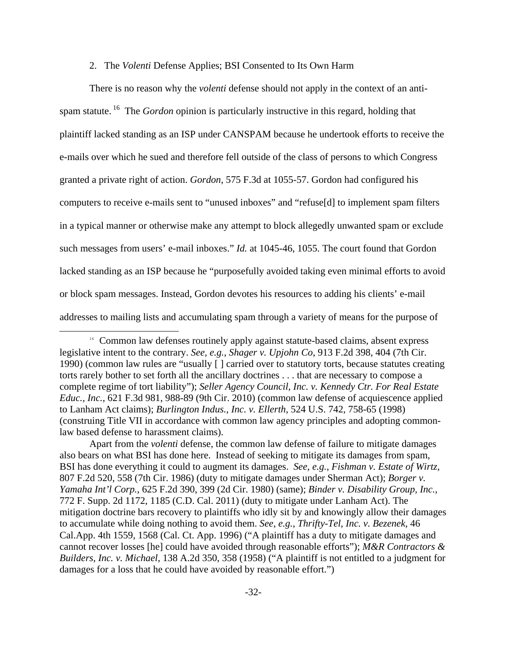# 2. The *Volenti* Defense Applies; BSI Consented to Its Own Harm

There is no reason why the *volenti* defense should not apply in the context of an antispam statute.<sup>16</sup> The *Gordon* opinion is particularly instructive in this regard, holding that plaintiff lacked standing as an ISP under CANSPAM because he undertook efforts to receive the e-mails over which he sued and therefore fell outside of the class of persons to which Congress granted a private right of action. *Gordon*, 575 F.3d at 1055-57. Gordon had configured his computers to receive e-mails sent to "unused inboxes" and "refuse[d] to implement spam filters in a typical manner or otherwise make any attempt to block allegedly unwanted spam or exclude such messages from users' e-mail inboxes." *Id.* at 1045-46, 1055. The court found that Gordon lacked standing as an ISP because he "purposefully avoided taking even minimal efforts to avoid or block spam messages. Instead, Gordon devotes his resources to adding his clients' e-mail addresses to mailing lists and accumulating spam through a variety of means for the purpose of

 $\overline{\phantom{0}}$ 

<sup>&</sup>lt;sup>16</sup> Common law defenses routinely apply against statute-based claims, absent express legislative intent to the contrary. *See, e.g.*, *Shager v. Upjohn Co*, 913 F.2d 398, 404 (7th Cir. 1990) (common law rules are "usually [ ] carried over to statutory torts, because statutes creating torts rarely bother to set forth all the ancillary doctrines . . . that are necessary to compose a complete regime of tort liability"); *Seller Agency Council, Inc. v. Kennedy Ctr. For Real Estate Educ., Inc.*, 621 F.3d 981, 988-89 (9th Cir. 2010) (common law defense of acquiescence applied to Lanham Act claims); *Burlington Indus., Inc. v. Ellerth*, 524 U.S. 742, 758-65 (1998) (construing Title VII in accordance with common law agency principles and adopting commonlaw based defense to harassment claims).

Apart from the *volenti* defense, the common law defense of failure to mitigate damages also bears on what BSI has done here. Instead of seeking to mitigate its damages from spam, BSI has done everything it could to augment its damages. *See*, *e.g.*, *Fishman v. Estate of Wirtz*, 807 F.2d 520, 558 (7th Cir. 1986) (duty to mitigate damages under Sherman Act); *Borger v. Yamaha Int'l Corp.*, 625 F.2d 390, 399 (2d Cir. 1980) (same); *Binder v. Disability Group, Inc.*, 772 F. Supp. 2d 1172, 1185 (C.D. Cal. 2011) (duty to mitigate under Lanham Act). The mitigation doctrine bars recovery to plaintiffs who idly sit by and knowingly allow their damages to accumulate while doing nothing to avoid them. *See*, *e.g.*, *Thrifty-Tel, Inc. v. Bezenek*, 46 Cal.App. 4th 1559, 1568 (Cal. Ct. App. 1996) ("A plaintiff has a duty to mitigate damages and cannot recover losses [he] could have avoided through reasonable efforts"); *M&R Contractors & Builders, Inc. v. Michael*, 138 A.2d 350, 358 (1958) ("A plaintiff is not entitled to a judgment for damages for a loss that he could have avoided by reasonable effort.")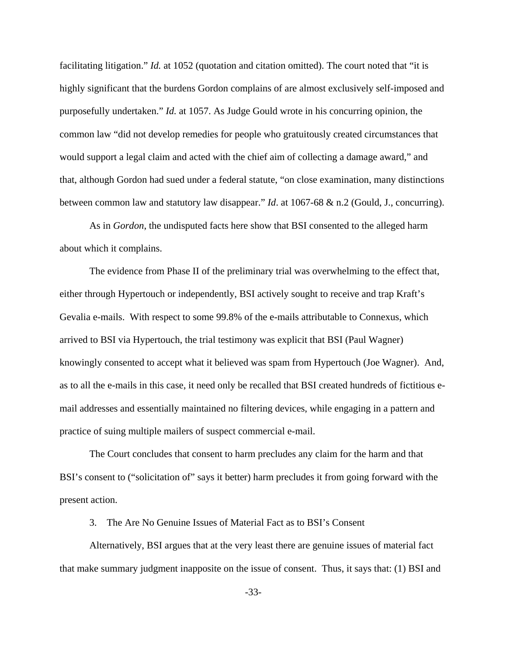facilitating litigation." *Id.* at 1052 (quotation and citation omitted). The court noted that "it is highly significant that the burdens Gordon complains of are almost exclusively self-imposed and purposefully undertaken." *Id.* at 1057. As Judge Gould wrote in his concurring opinion, the common law "did not develop remedies for people who gratuitously created circumstances that would support a legal claim and acted with the chief aim of collecting a damage award," and that, although Gordon had sued under a federal statute, "on close examination, many distinctions between common law and statutory law disappear." *Id*. at 1067-68 & n.2 (Gould, J., concurring).

As in *Gordon*, the undisputed facts here show that BSI consented to the alleged harm about which it complains.

The evidence from Phase II of the preliminary trial was overwhelming to the effect that, either through Hypertouch or independently, BSI actively sought to receive and trap Kraft's Gevalia e-mails. With respect to some 99.8% of the e-mails attributable to Connexus, which arrived to BSI via Hypertouch, the trial testimony was explicit that BSI (Paul Wagner) knowingly consented to accept what it believed was spam from Hypertouch (Joe Wagner). And, as to all the e-mails in this case, it need only be recalled that BSI created hundreds of fictitious email addresses and essentially maintained no filtering devices, while engaging in a pattern and practice of suing multiple mailers of suspect commercial e-mail.

The Court concludes that consent to harm precludes any claim for the harm and that BSI's consent to ("solicitation of" says it better) harm precludes it from going forward with the present action.

3. The Are No Genuine Issues of Material Fact as to BSI's Consent

Alternatively, BSI argues that at the very least there are genuine issues of material fact that make summary judgment inapposite on the issue of consent. Thus, it says that: (1) BSI and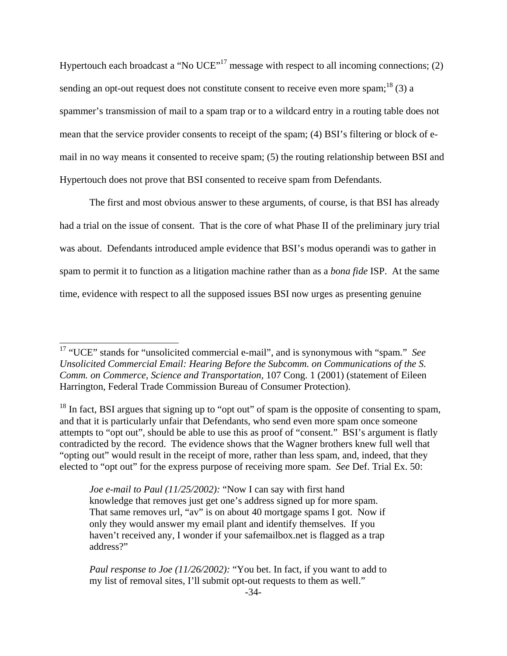Hypertouch each broadcast a "No  $UCE$ "<sup>17</sup> message with respect to all incoming connections; (2) sending an opt-out request does not constitute consent to receive even more spam;<sup>18</sup> (3) a spammer's transmission of mail to a spam trap or to a wildcard entry in a routing table does not mean that the service provider consents to receipt of the spam; (4) BSI's filtering or block of email in no way means it consented to receive spam; (5) the routing relationship between BSI and Hypertouch does not prove that BSI consented to receive spam from Defendants.

The first and most obvious answer to these arguments, of course, is that BSI has already had a trial on the issue of consent. That is the core of what Phase II of the preliminary jury trial was about. Defendants introduced ample evidence that BSI's modus operandi was to gather in spam to permit it to function as a litigation machine rather than as a *bona fide* ISP. At the same time, evidence with respect to all the supposed issues BSI now urges as presenting genuine

L

<sup>17</sup> "UCE" stands for "unsolicited commercial e-mail", and is synonymous with "spam." *See Unsolicited Commercial Email: Hearing Before the Subcomm. on Communications of the S. Comm. on Commerce, Science and Transportation,* 107 Cong. 1 (2001) (statement of Eileen Harrington, Federal Trade Commission Bureau of Consumer Protection).

<sup>&</sup>lt;sup>18</sup> In fact, BSI argues that signing up to "opt out" of spam is the opposite of consenting to spam, and that it is particularly unfair that Defendants, who send even more spam once someone attempts to "opt out", should be able to use this as proof of "consent." BSI's argument is flatly contradicted by the record. The evidence shows that the Wagner brothers knew full well that "opting out" would result in the receipt of more, rather than less spam, and, indeed, that they elected to "opt out" for the express purpose of receiving more spam. *See* Def. Trial Ex. 50:

*Joe e-mail to Paul (11/25/2002):* "Now I can say with first hand knowledge that removes just get one's address signed up for more spam. That same removes url, "av" is on about 40 mortgage spams I got. Now if only they would answer my email plant and identify themselves. If you haven't received any, I wonder if your safemailbox.net is flagged as a trap address?"

*Paul response to Joe (11/26/2002):* "You bet. In fact, if you want to add to my list of removal sites, I'll submit opt-out requests to them as well."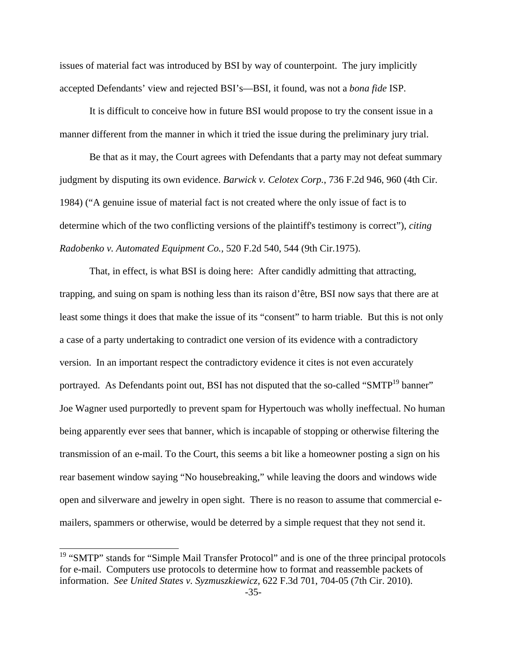issues of material fact was introduced by BSI by way of counterpoint. The jury implicitly accepted Defendants' view and rejected BSI's—BSI, it found, was not a *bona fide* ISP.

It is difficult to conceive how in future BSI would propose to try the consent issue in a manner different from the manner in which it tried the issue during the preliminary jury trial.

Be that as it may, the Court agrees with Defendants that a party may not defeat summary judgment by disputing its own evidence. *Barwick v. Celotex Corp.*, 736 F.2d 946, 960 (4th Cir. 1984) ("A genuine issue of material fact is not created where the only issue of fact is to determine which of the two conflicting versions of the plaintiff's testimony is correct"), *citing Radobenko v. Automated Equipment Co.,* 520 F.2d 540, 544 (9th Cir.1975).

That, in effect, is what BSI is doing here: After candidly admitting that attracting, trapping, and suing on spam is nothing less than its raison d'être, BSI now says that there are at least some things it does that make the issue of its "consent" to harm triable. But this is not only a case of a party undertaking to contradict one version of its evidence with a contradictory version. In an important respect the contradictory evidence it cites is not even accurately portrayed. As Defendants point out, BSI has not disputed that the so-called "SMTP<sup>19</sup> banner" Joe Wagner used purportedly to prevent spam for Hypertouch was wholly ineffectual. No human being apparently ever sees that banner, which is incapable of stopping or otherwise filtering the transmission of an e-mail. To the Court, this seems a bit like a homeowner posting a sign on his rear basement window saying "No housebreaking," while leaving the doors and windows wide open and silverware and jewelry in open sight. There is no reason to assume that commercial emailers, spammers or otherwise, would be deterred by a simple request that they not send it.

 $\overline{ }$ 

<sup>&</sup>lt;sup>19</sup> "SMTP" stands for "Simple Mail Transfer Protocol" and is one of the three principal protocols for e-mail. Computers use protocols to determine how to format and reassemble packets of information. *See United States v. Syzmuszkiewicz,* 622 F.3d 701, 704-05 (7th Cir. 2010).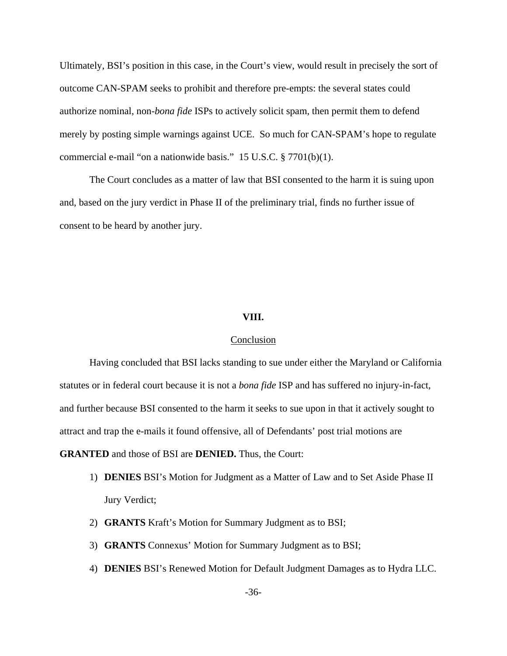Ultimately, BSI's position in this case, in the Court's view, would result in precisely the sort of outcome CAN-SPAM seeks to prohibit and therefore pre-empts: the several states could authorize nominal, non-*bona fide* ISPs to actively solicit spam, then permit them to defend merely by posting simple warnings against UCE. So much for CAN-SPAM's hope to regulate commercial e-mail "on a nationwide basis." 15 U.S.C. § 7701(b)(1).

The Court concludes as a matter of law that BSI consented to the harm it is suing upon and, based on the jury verdict in Phase II of the preliminary trial, finds no further issue of consent to be heard by another jury.

### **VIII.**

# Conclusion

 Having concluded that BSI lacks standing to sue under either the Maryland or California statutes or in federal court because it is not a *bona fide* ISP and has suffered no injury-in-fact, and further because BSI consented to the harm it seeks to sue upon in that it actively sought to attract and trap the e-mails it found offensive, all of Defendants' post trial motions are **GRANTED** and those of BSI are **DENIED.** Thus, the Court:

- 1) **DENIES** BSI's Motion for Judgment as a Matter of Law and to Set Aside Phase II Jury Verdict;
- 2) **GRANTS** Kraft's Motion for Summary Judgment as to BSI;
- 3) **GRANTS** Connexus' Motion for Summary Judgment as to BSI;
- 4) **DENIES** BSI's Renewed Motion for Default Judgment Damages as to Hydra LLC.